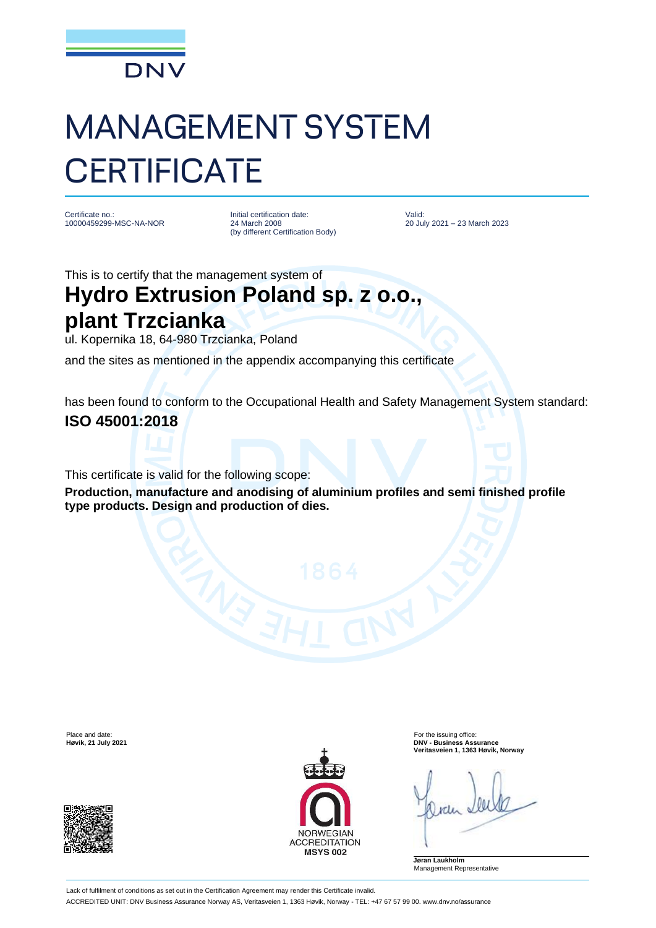

## MANAGEMENT SYSTEM **CERTIFICATE**

Certificate no.: 10000459299-MSC-NA-NOR Initial certification date: 24 March 2008 (by different Certification Body)

Valid: 20 July 2021 – 23 March 2023

This is to certify that the management system of

## **Hydro Extrusion Poland sp. z o.o., plant Trzcianka**

ul. Kopernika 18, 64-980 Trzcianka, Poland

and the sites as mentioned in the appendix accompanying this certificate

has been found to conform to the Occupational Health and Safety Management System standard: **ISO 45001:2018**

This certificate is valid for the following scope:

**Production, manufacture and anodising of aluminium profiles and semi finished profile type products. Design and production of dies.**





Place and date:<br> **Place and date:** For the issuing office:<br> **Place and date:** For the issuing office:<br> **Phace and date:** For the issuing office: **Høvik, 21 July 2021 DNV - Business Assurance Veritasveien 1, 1363 Høvik, Norway**

**Jøran Laukholm** Management Representative

Lack of fulfilment of conditions as set out in the Certification Agreement may render this Certificate invalid. ACCREDITED UNIT: DNV Business Assurance Norway AS, Veritasveien 1, 1363 Høvik, Norway - TEL: +47 67 57 99 00. www.dnv.no/assurance